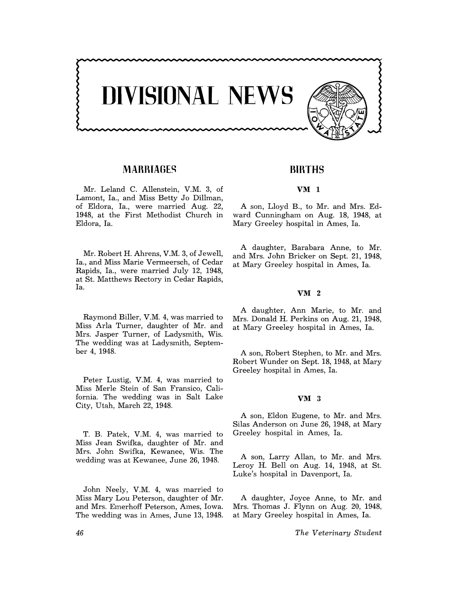# **DIVISIONAL NEWS**



### **MARRIAGES**

Mr. Leland C. Allenstein, V.M. 3, of Lamont, la., and Miss Betty Jo Dillman, of Eldora, la., were married Aug. 22, 1948, at the First Methodist Church in Eldora, Ia.

Mr. Robert H. Ahrens, V.M. 3, of Jewell, la., and Miss Marie Vermeersch, of Cedar Rapids, la., were married July 12, 1948, at St. Matthews Rectory in Cedar Rapids, la.

Raymond Biller, V.M. 4, was married to Miss Arla Turner, daughter of Mr. and Mrs. Jasper Turner, of Ladysmith, Wis. The wedding was at Ladysmith, September 4, 1948.

Peter Lustig, V.M. 4, was married to Miss Merle Stein of San Fransico, California. The wedding was in Salt Lake City, Utah, March 22, 1948.

T. B. Patek, V.M. 4, was married to Miss Jean Swifka, daughter of Mr. and Mrs. John Swifka, Kewanee, Wis. The wedding was at Kewanee, June 26, 1948.

John Neely, V.M. 4, was married to Miss Mary Lou Peterson, daughter of Mr. and Mrs. Emerhoff Peterson, Ames, Iowa. The wedding was in Ames, June 13, 1948.

### **BIRTHS**

### **VM 1**

A son, Lloyd B., to Mr. and Mrs. Edward Cunningham on Aug. 18, 1948, at Mary Greeley hospital in Ames, la.

A daughter, Barabara Anne, to Mr. and Mrs. John Bricker on Sept. 21, 1948, at Mary Greeley hospital in Ames, la.

### **VM 2**

A daughter, Ann Marie, to Mr. and Mrs. Donald H. Perkins on Aug. 21, 1948, at Mary Greeley hospital in Ames, la.

A son, Robert Stephen, to Mr. and Mrs. Robert Wunder on Sept. 18, 1948, at Mary Greeley hospital in Ames, la.

#### **VM 3**

A son, Eldon Eugene, to Mr. and Mrs. Silas Anderson on June 26, 1948, at Mary Greeley hospital in Ames, la.

A son, Larry Allan, to Mr. and Mrs. Leroy H. Bell on Aug. 14, 1948, at St. Luke's hospital in Davenport, la.

A daughter, Joyce Anne, to Mr. and Mrs. Thomas J. Flynn on Aug. 20, 1948, at Mary Greeley hospital in Ames, la.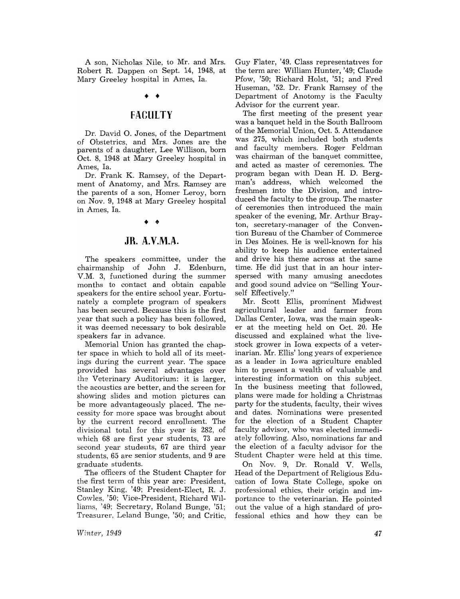A son, Nicholas Nile, to Mr. and Mrs. Robert R. Dappen on Sept. 14, 1948, at Mary Greeley hospital in Ames, la.

# • •

### **FACULTY**

Dr. David O. Jones, of the Department of Obstetrics, and Mrs. Jones are the parents of a daughter, Lee Willison, born Oct. 8, 1948 at Mary Greeley hospital in Ames, Ia.

Dr. Frank K. Ramsey, of the Department of Anatomy, and Mrs. Ramsey are the parents of a son, Homer Leroy, born on Nov. 9, 1948 at Mary Greeley hospital in Ames, Ia.

#### • •

### **JR. A.V.M.A.**

The speakers committee, under the chairmanship of John J. Edenburn, V.M. 3, functioned during the summer months to contact and obtain capable speakers for the entire school year. Fortunately a complete program of speakers has been secured. Because this is the first year that such a policy has been followed, it was deemed necessary to bok desirable speakers far in advance.

Memorial Union has granted the chapter space in which to hold all of its meetings during the current year. The space provided has several advantages over the Veterinary Auditorium: it is larger, the acoustics are better, and the screen for showing slides and motion pictures can be more advantageously placed. The necessity for more space was brought about by the current record enrollment. The divisional total for this year is 282, of which 68 are first year students, 73 are second year students, 67 are third year students, 65 are senior students, and 9 are graduate students.

The officers of the Student Chapter for the first term of this year are: President, Stanley King, '49; President-Elect, R. J. Cowles, '50; Vice-President, Richard Williams, '49; Secretary, Roland Bunge, '51; Treasurer, Leland Bunge, '50; and Critic,

*Winter, 1949* 

Guy Flater, '49. Class representatives for the term are: William Hunter, '49; Claude Pfow, '50; Richard Holst, '51; and Fred Huseman, '52. Dr. Frank Ramsey of the Department of Anotomy is the Faculty Advisor for the current year.

The first meeting of the present year was a banquet held in the South Ballroom of the Memorial Union, Oct. 5. Attendance was 275, which included both students and faculty members. Roger Feldman was chairman of the banquet committee, and acted as master of ceremonies. The program began with Dean H. D. Bergman's address, which welcomed the freshmen into the Division, and introduced the faculty to the group. The master of ceremonies then introduced the main speaker of the evening, Mr. Arthur Brayton, secretary-manager of the Convention Bureau of the Chamber of Commerce in Des Moines. He is well-known for his ability to keep his audience entertained and drive his theme across at the same time. He did just that in an hour interspersed with many amusing anecdotes and good sound advice on "Selling Yourself Effectively."

Mr. Scott Ellis, prominent Midwest agricultural leader and farmer from Dallas Center, Iowa, was the main speaker at the meeting held on Oct. 20. He discussed and explained what the livestock grower in Iowa expects of a veterinarian. Mr. Ellis' long years of experience as a leader in Iowa agriculture enabled him to present a wealth of valuable and interesting information on this subject. In the business meeting that followed, plans were made for holding a Christmas party for the students, faculty, their wives and dates. Nominations were presented for the election of a Student Chapter faculty advisor, who was elected immediately following. Also, nominations far and the election of a faculty advisor for the Student Chapter were held at this time.

On Nov. 9, Dr. Ronald V. Wells, Head of the Department of Religious Education of Iowa State College, spoke on professional ethics, their origin and importance to the veterinarian. He pointed out the value of a high standard of professional ethics and how they can be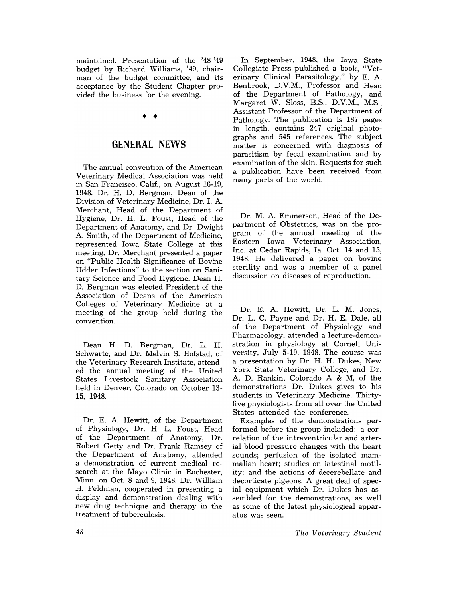maintained. Presentation of the '48-'49 budget by Richard Williams, '49, chairman of the budget committee, and its acceptance by the Student Chapter provided the business for the evening.

# • •

### **GENERAL NEWS**

The annual convention of the American Veterinary Medical Association was held in San Francisco, Calif., on August 16-19, 1948. Dr. H. D. Bergman, Dean of the Division of Veterinary Medicine, Dr. I. A. Merchant, Head of the Department of Hygiene, Dr. H. L. Foust, Head of the Department of Anatomy, and Dr. Dwight A. Smith, of the Department of Medicine, represented Iowa State College at this meeting. Dr. Merchant presented a paper on "Public Health Significance of Bovine Udder Infections" to the section on Sanitary Science and Food Hygiene. Dean H. D. Bergman was elected President of the Association of Deans of the American Colleges of Veterinary Medicine at a meeting of the group held during the convention.

Dean H. D. Bergman, Dr. L. H. Schwarte, and Dr. Melvin S. Hofstad, of the Veterinary Research Institute, attended the annual meeting of the United States Livestock Sanitary Association held in Denver, Colorado on October 13- 15, 1948.

Dr. E. A. Hewitt, of the Department of Physiology, Dr. H. L. Foust, Head of the Department of Anatomy, Dr. Robert Getty and Dr. Frank Ramsey of the Department of Anatomy, attended a demonstration of current medical research at the Mayo Clinic in Rochester, Minn. on Oct. 8 and 9, 1948. Dr. William H. Feldman, cooperated in presenting a display and demonstration dealing with new drug technique and therapy in the treatment of tuberculosis.

In September, 1948, the Iowa State Collegiate Press published a book, "Veterinary Clinical Parasitology," by E. A. Benbrook, D.V.M., Professor and Head of the Department of Pathology, and Margaret W. Sloss, B.S., D.V.M., M.S., Assistant Professor of the Department of Pathology. The publication is 187 pages in length, contains 247 original photographs and 545 references. The subject matter is concerned with diagnosis of parasitism by fecal examination and by examination of the skin. Requests for such a publication have been received from many parts of the world.

Dr. M. A. Emmerson, Head of the Department of Obstetrics, was on the program of the annual meeting of the Eastern Iowa Veterinary Association, Inc. at Cedar Rapids, Ia. Oct. 14 and 15, 1948. He delivered a paper on bovine sterility and was a member of a panel discussion on diseases of reproduction.

Dr. E. A. Hewitt, Dr. L. M. Jones, Dr. L. C. Payne and Dr. H. E. Dale, all of the Department of Physiology and Pharmacology, attended a lecture-demonstration in physiology at Cornell University, July 5-10, 1948. The course was a presentation by Dr. H. H. Dukes, New York State Veterinary College, and Dr. A. D. Rankin, Colorado A & M, of the demonstrations Dr. Dukes gives to his students in Veterinary Medicine. Thirtyfive physiologists from all over the United States attended the conference.

Examples of the demonstrations performed before the group included: a correlation of the intraventricular and arterial blood pressure changes with the heart sounds; perfusion of the isolated mammalian heart; studies on intestinal motility; and the actions of decerebellate and decorticate pigeons. A great deal of special equipment which Dr. Dukes has assembled for the demonstrations, as well as some of the latest physiological apparatus was seen.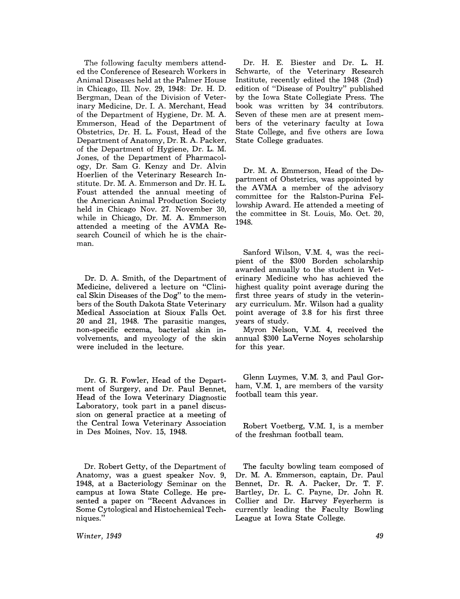The following faculty members attended the Conference of Research Workers in Animal Diseases held at the Palmer House in Chicago, Ill. Nov. 29, 1948: Dr. H. D. Bergman, Dean of the Division of Veterinary Medicine, Dr. 1. A. Merchant, Head of the Department of Hygiene, Dr. M. A. Emmerson, Head of the Department of Obstetrics, Dr. H. L. Foust, Head of the Department of Anatomy, Dr. R. A. Packer, of the Department of Hygiene, Dr. L. M. Jones, of the Department of Pharmacology, Dr. Sam G. Kenzy and Dr. Alvin Hoerlien of the Veterinary Research Institute. Dr. M. A. Emmerson and Dr. H. L. Foust attended the annual meeting of the American Animal Production Society held in Chicago Nov. 27. November 30, while in Chicago, Dr. M. A. Emmerson attended a meeting of the AVMA Research Council of which he is the chairman.

Dr. D. A. Smith, of the Department of Medicine, delivered a lecture on "Clinical Skin Diseases of the Dog" to the members of the South Dakota State Veterinary Medical Association at Sioux Falls Oct. 20 and 21, 1948. The parasitic manges, non-specific eczema, bacterial skin involvements, and mycology of the skin were included in the lecture.

Dr. G. R. Fowler, Head of the Department of Surgery, and Dr. Paul Bennet, Head of the Iowa Veterinary Diagnostic Laboratory, took part in a panel discussion on general practice at a meeting of the Central Iowa Veterinary Association in Des Moines, Nov. 15, 1948.

Dr. Robert Getty, of the Department of Anatomy, was a guest speaker Nov. 9, 1948, at a Bacteriology Seminar on the campus at Iowa State College. He presented a paper on "Recent Advances in Some Cytological and Histochemical Techniques."

Dr. H. E. Biester and Dr. L. H. Schwarte, of the Veterinary Research Institute, recently edited the 1948 (2nd) edition of "Disease of Poultry" published by the Iowa State Collegiate Press. The book was written by 34 contributors. Seven of these men are at present members of the veterinary faculty at Iowa State College, and five others are Iowa State College graduates.

Dr. M. A. Emmerson, Head of the Department of Obstetrics, was appointed by the AVMA a member of the advisory committee for the Ralston-Purina Fellowship Award. He attended a meeting of the committee in St. Louis, Mo. Oct. 20, 1948.

Sanford Wilson, V.M. 4, was the recipient of the \$300 Borden scholarship awarded annually to the student in Veterinary Medicine who has achieved the highest quality point average during the first three years of study in the veterinary curriculum. Mr. Wilson had a guality point average of 3.8 for his first three years of study.

Myron Nelson, V.M. 4, received the annual \$300 LaVerne Noyes scholarship for this year.

Glenn Luymes, V.M. 3, and Paul Gorham, V.M. 1, are members of the varsity football team this year.

Robert Voetberg, V.M. 1, is a member of the freshman football team.

The faculty bowling team composed of Dr. M. A. Emmerson, captain, Dr. Paul Bennet, Dr. R. A. Packer, Dr. T. F. Bartley, Dr. L. C. Payne, Dr. John R. Collier and Dr. Harvey Feyerherm is currently leading the Faculty Bowling League at Iowa State College.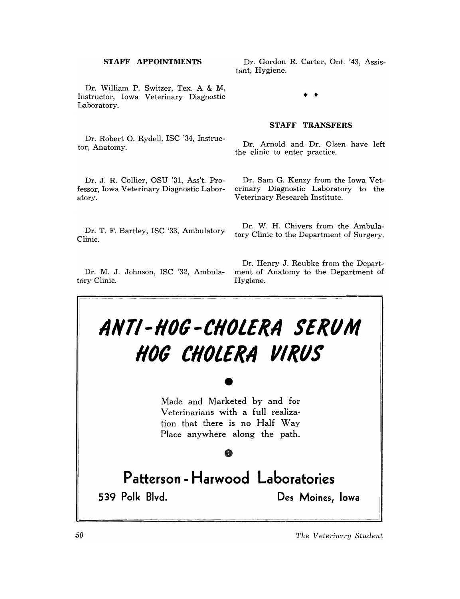Dr. William P. Switzer, Tex. A & M, Instructor, Iowa Veterinary Diagnostic Laboratory.

Dr. Robert O. Rydell, ISC '34, Instructor, Anatomy.

Dr. J. R. Collier, OSU '31, Ass't. Professor, Iowa Veterinary Diagnostic Laboratory.

Dr. T. F. Bartley, ISC '33, Ambulatory Clinic.

Dr. M. J. Johnson, ISC '32, Ambulatory Clinic.

**STAFF APPOINTMENTS** Dr. Gordon R. Carter, Ont. '43, Assistant, Hygiene.

### **STAFF TRANSFERS**

Dr. Arnold and Dr. Olsen have left the clinic to enter practice.

Dr. Sam G. Kenzy from the Iowa Veterinary Diagnostic Laboratory to the Veterinary Research Institute.

Dr. W. H. Chivers from the Ambulatory Clinic to the Department of Surgery.

Dr. Henry J. Reubke from the Department of Anatomy to the Department of Hygiene.

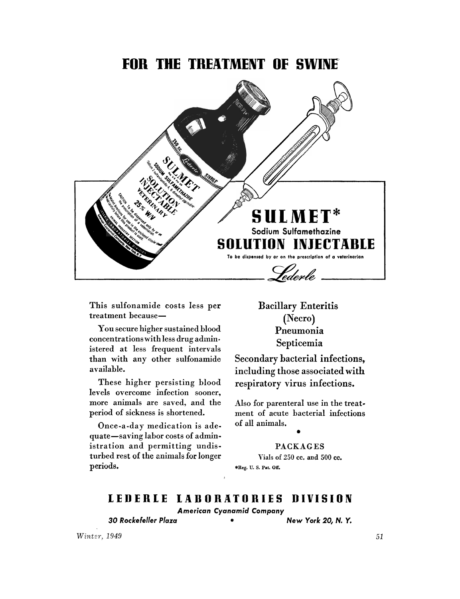## **FOR THE TREATMENT OF SWINE**



This sulfonamide costs less per treatment because-

You secure higher sustained blood concentrations with less drug admin· istered at less frequent intervals than with any other sulfonamide available.

These higher persisting blood levels overcome infection sooner. more animals are saved, and the period of sickness is shortened.

Once-a-day medication is adequate-saving labor costs of administration and permitting undisturbed rest of the animals for longer periods.

### Bacillary Enteritis (Necro) Pneumonia Septicemia

Secondary bacterial infections, including those associated with respiratory virus infections.

Also for parenteral use in the treatment of acute bacterial infections of all animals. •

### PACKAGES

Vials of 250 cc. and 500 cc. \*Reg. U. S. Pat. Off.

### **lEDERlE lABORATORIES DIVISION**

*American Cyanamid Company* 

*30 Rodce/eller Plaza* • *New York 20,* N. *Y.* 

*Winter, 1949* 51